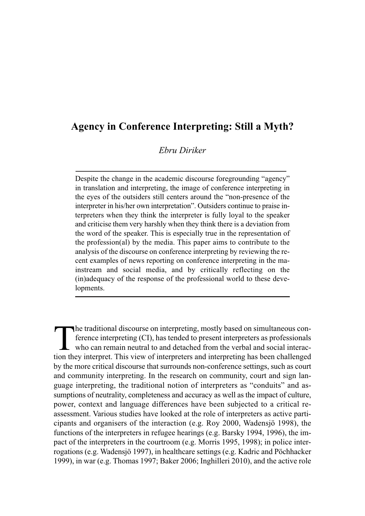# **Agency in Conference Interpreting: Still a Myth?**

*Ebru Diriker*

Despite the change in the academic discourse foregrounding "agency" in translation and interpreting, the image of conference interpreting in the eyes of the outsiders still centers around the "non-presence of the interpreter in his/her own interpretation". Outsiders continue to praise interpreters when they think the interpreter is fully loyal to the speaker and criticise them very harshly when they think there is a deviation from the word of the speaker. This is especially true in the representation of the profession(al) by the media. This paper aims to contribute to the analysis of the discourse on conference interpreting by reviewing the recent examples of news reporting on conference interpreting in the mainstream and social media, and by critically reflecting on the (in)adequacy of the response of the professional world to these developments.

The traditional discourse on interpreting, mostly based on simultaneous con-<br>ference interpreting (CI), has tended to present interpreters as professionals<br>who can remain neutral to and detached from the verbal and social ference interpreting (CI), has tended to present interpreters as professionals who can remain neutral to and detached from the verbal and social interaction they interpret. This view of interpreters and interpreting has been challenged by the more critical discourse that surrounds non-conference settings, such as court and community interpreting. In the research on community, court and sign language interpreting, the traditional notion of interpreters as "conduits" and assumptions of neutrality, completeness and accuracy as well as the impact of culture, power, context and language differences have been subjected to a critical reassessment. Various studies have looked at the role of interpreters as active participants and organisers of the interaction (e.g. Roy 2000, Wadensjö 1998), the functions of the interpreters in refugee hearings (e.g. Barsky 1994, 1996), the impact of the interpreters in the courtroom (e.g. Morris 1995, 1998); in police interrogations (e.g. Wadensjö 1997), in healthcare settings (e.g. Kadric and Pöchhacker 1999), in war (e.g. Thomas 1997; Baker 2006; Inghilleri 2010), and the active role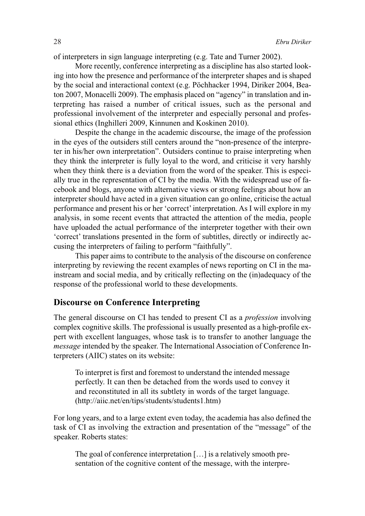of interpreters in sign language interpreting (e.g. Tate and Turner 2002).

More recently, conference interpreting as a discipline has also started looking into how the presence and performance of the interpreter shapes and is shaped by the social and interactional context (e.g. Pöchhacker 1994, Diriker 2004, Beaton 2007, Monacelli 2009). The emphasis placed on "agency" in translation and interpreting has raised a number of critical issues, such as the personal and professional involvement of the interpreter and especially personal and professional ethics (Inghilleri 2009, Kinnunen and Koskinen 2010).

Despite the change in the academic discourse, the image of the profession in the eyes of the outsiders still centers around the "non-presence of the interpreter in his/her own interpretation". Outsiders continue to praise interpreting when they think the interpreter is fully loyal to the word, and criticise it very harshly when they think there is a deviation from the word of the speaker. This is especially true in the representation of CI by the media. With the widespread use of facebook and blogs, anyone with alternative views or strong feelings about how an interpreter should have acted in a given situation can go online, criticise the actual performance and present his or her 'correct'interpretation. As I will explore in my analysis, in some recent events that attracted the attention of the media, people have uploaded the actual performance of the interpreter together with their own 'correct' translations presented in the form of subtitles, directly or indirectly accusing the interpreters of failing to perform "faithfully".

This paper aims to contribute to the analysis of the discourse on conference interpreting by reviewing the recent examples of news reporting on CI in the mainstream and social media, and by critically reflecting on the (in)adequacy of the response of the professional world to these developments.

## **Discourse on Conference Interpreting**

The general discourse on CI has tended to present CI as a *profession* involving complex cognitive skills. The professional is usually presented as a high-profile expert with excellent languages, whose task is to transfer to another language the *message* intended by the speaker. The International Association of Conference Interpreters (AIIC) states on its website:

To interpret is first and foremost to understand the intended message perfectly. It can then be detached from the words used to convey it and reconstituted in all its subtlety in words of the target language. (http://aiic.net/en/tips/students/students1.htm)

For long years, and to a large extent even today, the academia has also defined the task of CI as involving the extraction and presentation of the "message" of the speaker. Roberts states:

The goal of conference interpretation […] is a relatively smooth presentation of the cognitive content of the message, with the interpre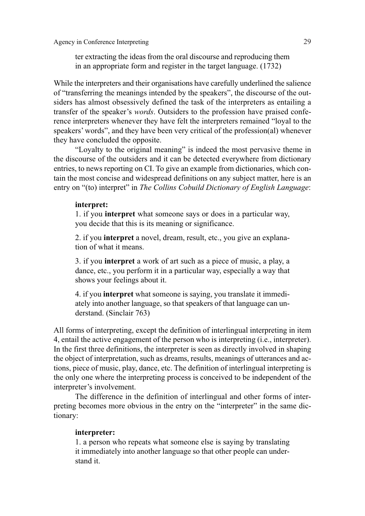ter extracting the ideas from the oral discourse and reproducing them in an appropriate form and register in the target language. (1732)

While the interpreters and their organisations have carefully underlined the salience of "transferring the meanings intended by the speakers", the discourse of the outsiders has almost obsessively defined the task of the interpreters as entailing a transfer of the speaker's *words*. Outsiders to the profession have praised conference interpreters whenever they have felt the interpreters remained "loyal to the speakers' words", and they have been very critical of the profession(al) whenever they have concluded the opposite.

"Loyalty to the original meaning" is indeed the most pervasive theme in the discourse of the outsiders and it can be detected everywhere from dictionary entries, to news reporting on CI. To give an example from dictionaries, which contain the most concise and widespread definitions on any subject matter, here is an entry on "(to) interpret" in *The Collins Cobuild Dictionary of English Language*:

#### **interpret:**

1. if you **interpret** what someone says or does in a particular way, you decide that this is its meaning or significance.

2. if you **interpret** a novel, dream, result, etc., you give an explanation of what it means.

3. if you **interpret** a work of art such as a piece of music, a play, a dance, etc., you perform it in a particular way, especially a way that shows your feelings about it.

4. if you **interpret** what someone is saying, you translate it immediately into another language, so that speakers of that language can understand. (Sinclair 763)

All forms of interpreting, except the definition of interlingual interpreting in item 4, entail the active engagement of the person who is interpreting (i.e., interpreter). In the first three definitions, the interpreter is seen as directly involved in shaping the object of interpretation, such as dreams, results, meanings of utterances and actions, piece of music, play, dance, etc. The definition of interlingual interpreting is the only one where the interpreting process is conceived to be independent of the interpreter's involvement.

The difference in the definition of interlingual and other forms of interpreting becomes more obvious in the entry on the "interpreter" in the same dictionary:

### **interpreter:**

1. a person who repeats what someone else is saying by translating it immediately into another language so that other people can understand it.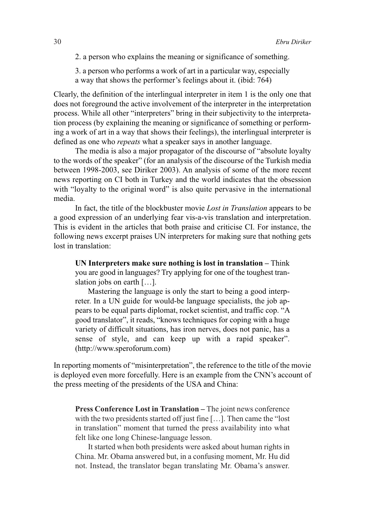- 2. a person who explains the meaning or significance of something.
- 3. a person who performs a work of art in a particular way, especially a way that shows the performer's feelings about it. (ibid: 764)

Clearly, the definition of the interlingual interpreter in item 1 is the only one that does not foreground the active involvement of the interpreter in the interpretation process. While all other "interpreters" bring in their subjectivity to the interpretation process (by explaining the meaning or significance of something or performing a work of art in a way that shows their feelings), the interlingual interpreter is defined as one who *repeats* what a speaker says in another language.

The media is also a major propagator of the discourse of "absolute loyalty to the words of the speaker" (for an analysis of the discourse of the Turkish media between 1998-2003, see Diriker 2003). An analysis of some of the more recent news reporting on CI both in Turkey and the world indicates that the obsession with "loyalty to the original word" is also quite pervasive in the international media.

In fact, the title of the blockbuster movie *Lost in Translation* appears to be a good expression of an underlying fear vis-a-vis translation and interpretation. This is evident in the articles that both praise and criticise CI. For instance, the following news excerpt praises UN interpreters for making sure that nothing gets lost in translation:

**UN Interpreters make sure nothing is lost in translation –** Think you are good in languages? Try applying for one of the toughest translation jobs on earth […].

Mastering the language is only the start to being a good interpreter. In a UN guide for would-be language specialists, the job appears to be equal parts diplomat, rocket scientist, and traffic cop. "A good translator", it reads, "knows techniques for coping with a huge variety of difficult situations, has iron nerves, does not panic, has a sense of style, and can keep up with a rapid speaker". (http://www.speroforum.com)

In reporting moments of "misinterpretation", the reference to the title of the movie is deployed even more forcefully. Here is an example from the CNN's account of the press meeting of the presidents of the USA and China:

**Press Conference Lost in Translation –** The joint news conference with the two presidents started off just fine […]. Then came the "lost in translation" moment that turned the press availability into what felt like one long Chinese-language lesson.

It started when both presidents were asked about human rights in China. Mr. Obama answered but, in a confusing moment, Mr. Hu did not. Instead, the translator began translating Mr. Obama's answer.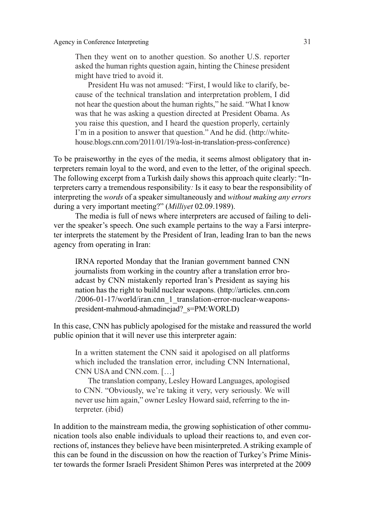Then they went on to another question. So another U.S. reporter asked the human rights question again, hinting the Chinese president might have tried to avoid it.

President Hu was not amused: "First, I would like to clarify, because of the technical translation and interpretation problem, I did not hear the question about the human rights," he said. "What I know was that he was asking a question directed at President Obama. As you raise this question, and I heard the question properly, certainly I'm in a position to answer that question." And he did. (http://whitehouse.blogs.cnn.com/2011/01/19/a-lost-in-translation-press-conference)

To be praiseworthy in the eyes of the media, it seems almost obligatory that interpreters remain loyal to the word, and even to the letter, of the original speech. The following excerpt from a Turkish daily shows this approach quite clearly: "Interpreters carry a tremendous responsibility*:* Is it easy to bear the responsibility of interpreting the *words* of a speaker simultaneously and *without making any errors* during a very important meeting?" (*Milliyet* 02.09.1989).

The media is full of news where interpreters are accused of failing to deliver the speaker's speech. One such example pertains to the way a Farsi interpreter interprets the statement by the President of Iran, leading Iran to ban the news agency from operating in Iran:

IRNA reported Monday that the Iranian government banned CNN journalists from working in the country after a translation error broadcast by CNN mistakenly reported Iran's President as saying his nation has the right to build nuclear weapons. (http://articles. cnn.com /2006-01-17/world/iran.cnn\_1\_translation-error-nuclear-weaponspresident-mahmoud-ahmadinejad?\_s=PM:WORLD)

In this case, CNN has publicly apologised for the mistake and reassured the world public opinion that it will never use this interpreter again:

In a written statement the CNN said it apologised on all platforms which included the translation error, including CNN International, CNN USA and CNN.com. […]

The translation company, Lesley Howard Languages, apologised to CNN. "Obviously, we're taking it very, very seriously. We will never use him again," owner Lesley Howard said, referring to the interpreter. (ibid)

In addition to the mainstream media, the growing sophistication of other communication tools also enable individuals to upload their reactions to, and even corrections of, instances they believe have been misinterpreted. A striking example of this can be found in the discussion on how the reaction of Turkey's Prime Minister towards the former Israeli President Shimon Peres was interpreted at the 2009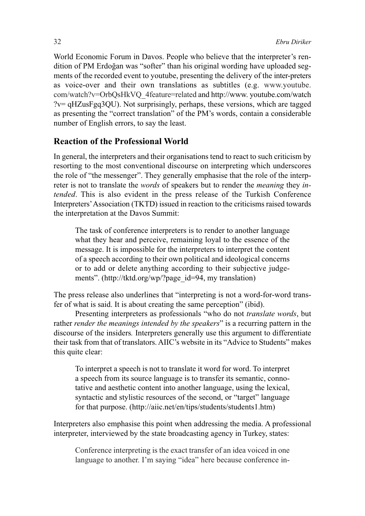World Economic Forum in Davos. People who believe that the interpreter's rendition of PM Erdoğan was "softer" than his original wording have uploaded segments of the recorded event to youtube, presenting the delivery of the inter-preters as voice-over and their own translations as subtitles (e.g. www.youtube. com/watch?v=OrbQsHkVQ\_4feature=related and http://www. youtube.com/watch ?v= qHZusFgq3QU). Not surprisingly, perhaps, these versions, which are tagged as presenting the "correct translation" of the PM's words, contain a considerable number of English errors, to say the least.

## **Reaction of the Professional World**

In general, the interpreters and their organisations tend to react to such criticism by resorting to the most conventional discourse on interpreting which underscores the role of "the messenger". They generally emphasise that the role of the interpreter is not to translate the *words* of speakers but to render the *meaning* they *intended*. This is also evident in the press release of the Turkish Conference Interpreters'Association (TKTD) issued in reaction to the criticisms raised towards the interpretation at the Davos Summit:

The task of conference interpreters is to render to another language what they hear and perceive, remaining loyal to the essence of the message. It is impossible for the interpreters to interpret the content of a speech according to their own political and ideological concerns or to add or delete anything according to their subjective judgements". (http://tktd.org/wp/?page\_id=94, my translation)

The press release also underlines that "interpreting is not a word-for-word transfer of what is said. It is about creating the same perception" (ibid).

Presenting interpreters as professionals "who do not *translate words*, but rather *render the meanings intended by the speakers*" is a recurring pattern in the discourse of the insiders*.* Interpreters generally use this argument to differentiate their task from that of translators. AIIC's website in its "Advice to Students" makes this quite clear:

To interpret a speech is not to translate it word for word. To interpret a speech from its source language is to transfer its semantic, connotative and aesthetic content into another language, using the lexical, syntactic and stylistic resources of the second, or "target" language for that purpose. (http://aiic.net/en/tips/students/students1.htm)

Interpreters also emphasise this point when addressing the media. A professional interpreter, interviewed by the state broadcasting agency in Turkey, states:

Conference interpreting is the exact transfer of an idea voiced in one language to another. I'm saying "idea" here because conference in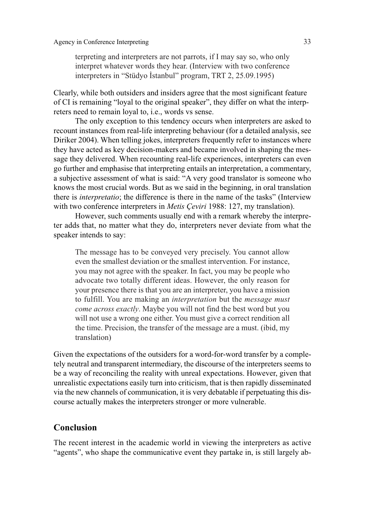terpreting and interpreters are not parrots, if I may say so, who only interpret whatever words they hear. (Interview with two conference interpreters in "Stüdyo İstanbul" program, TRT 2, 25.09.1995)

Clearly, while both outsiders and insiders agree that the most significant feature of CI is remaining "loyal to the original speaker", they differ on what the interpreters need to remain loyal to, i.e., words vs sense.

The only exception to this tendency occurs when interpreters are asked to recount instances from real-life interpreting behaviour (for a detailed analysis, see Diriker 2004). When telling jokes, interpreters frequently refer to instances where they have acted as key decision-makers and became involved in shaping the message they delivered. When recounting real-life experiences, interpreters can even go further and emphasise that interpreting entails an interpretation, a commentary, a subjective assessment of what is said: "A very good translator is someone who knows the most crucial words. But as we said in the beginning, in oral translation there is *interpretatio*; the difference is there in the name of the tasks" (Interview with two conference interpreters in *Metis Çeviri* 1988: 127, my translation).

However, such comments usually end with a remark whereby the interpreter adds that, no matter what they do, interpreters never deviate from what the speaker intends to say:

The message has to be conveyed very precisely. You cannot allow even the smallest deviation or the smallest intervention. For instance, you may not agree with the speaker. In fact, you may be people who advocate two totally different ideas. However, the only reason for your presence there is that you are an interpreter, you have a mission to fulfill. You are making an *interpretation* but the *message must come across exactly*. Maybe you will not find the best word but you will not use a wrong one either. You must give a correct rendition all the time. Precision, the transfer of the message are a must. (ibid, my translation)

Given the expectations of the outsiders for a word-for-word transfer by a completely neutral and transparent intermediary, the discourse of the interpreters seems to be a way of reconciling the reality with unreal expectations. However, given that unrealistic expectations easily turn into criticism, that is then rapidly disseminated via the new channels of communication, it is very debatable if perpetuating this discourse actually makes the interpreters stronger or more vulnerable.

### **Conclusion**

The recent interest in the academic world in viewing the interpreters as active "agents", who shape the communicative event they partake in, is still largely ab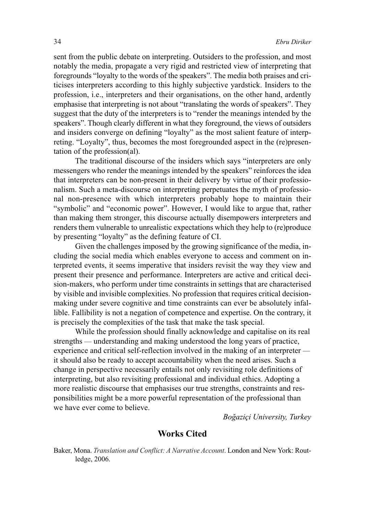sent from the public debate on interpreting. Outsiders to the profession, and most notably the media, propagate a very rigid and restricted view of interpreting that foregrounds "loyalty to the words of the speakers". The media both praises and criticises interpreters according to this highly subjective yardstick. Insiders to the profession, i.e., interpreters and their organisations, on the other hand, ardently emphasise that interpreting is not about "translating the words of speakers". They suggest that the duty of the interpreters is to "render the meanings intended by the speakers". Though clearly different in what they foreground, the views of outsiders and insiders converge on defining "loyalty" as the most salient feature of interpreting. "Loyalty", thus, becomes the most foregrounded aspect in the (re)presentation of the profession(al).

The traditional discourse of the insiders which says "interpreters are only messengers who render the meanings intended by the speakers" reinforces the idea that interpreters can be non-present in their delivery by virtue of their professionalism. Such a meta-discourse on interpreting perpetuates the myth of professional non-presence with which interpreters probably hope to maintain their "symbolic" and "economic power". However, I would like to argue that, rather than making them stronger, this discourse actually disempowers interpreters and renders them vulnerable to unrealistic expectations which they help to (re)produce by presenting "loyalty" as the defining feature of CI.

Given the challenges imposed by the growing significance of the media, including the social media which enables everyone to access and comment on interpreted events, it seems imperative that insiders revisit the way they view and present their presence and performance. Interpreters are active and critical decision-makers, who perform under time constraints in settings that are characterised by visible and invisible complexities. No profession that requires critical decisionmaking under severe cognitive and time constraints can ever be absolutely infallible. Fallibility is not a negation of competence and expertise. On the contrary, it is precisely the complexities of the task that make the task special.

While the profession should finally acknowledge and capitalise on its real strengths — understanding and making understood the long years of practice, experience and critical self-reflection involved in the making of an interpreter it should also be ready to accept accountability when the need arises. Such a change in perspective necessarily entails not only revisiting role definitions of interpreting, but also revisiting professional and individual ethics. Adopting a more realistic discourse that emphasises our true strengths, constraints and responsibilities might be a more powerful representation of the professional than we have ever come to believe.

*Boğaziçi University, Turkey*

## **Works Cited**

Baker, Mona. *Translation and Conflict: A Narrative Account*. London and New York: Routledge, 2006.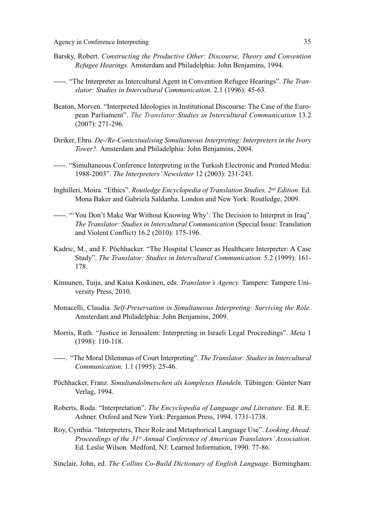- Barsky, Robert. *Constructing the Productive Other: Discourse, Theory and Convention Refugee Hearings.* Amsterdam and Philadelphia: John Benjamins, 1994.
- -----. "The Interpreter as Intercultural Agent in Convention Refugee Hearings". *The Translator: Studies in Intercultural Communication.* 2.1 (1996): 45-63.
- Beaton, Morven. "Interpreted Ideologies in Institutional Discourse: The Case of the European Parliament". *The Translator:Studies in Intercultural Communication* 13.2 (2007): 271-296.
- Diriker, Ebru. *De-/Re-Contextualising Simultaneous Interpreting: Interpreters in the Ivory Tower?.* Amsterdam and Philadelphia: John Benjamins, 2004.
- -----. "Simultaneous Conference Interpreting in the Turkish Electronic and Printed Media: 1988-2003". *The Interpreters'Newsletter* 12 (2003): 231-243.
- Inghilleri, Moira. "Ethics". *Routledge Encyclopedia of Translation Studies, 2nd Edition*. Ed. Mona Baker and Gabriela Saldanha. London and New York: Routledge, 2009.
- -----. "'You Don't Make War Without Knowing Why': The Decision to Interpret in Iraq". *The Translator: Studies in Intercultural Communication* (Special Issue: Translation and Violent Conflict) 16.2 (2010): 175-196.
- Kadric, M., and F. Pöchhacker. "The Hospital Cleaner as Healthcare Interpreter: A Case Study". *The Translator: Studies in Intercultural Communication.* 5.2 (1999): 161- 178.
- Kinnunen, Tuija, and Kaisa Koskinen, eds. *Translator's Agency.* Tampere: Tampere University Press, 2010.
- Monacelli, Claudia. *Self-Preservation in Simultaneous Interpreting: Surviving the Role.* Amsterdam and Philadelphia: John Benjamins, 2009.
- Morris, Ruth. "Justice in Jerusalem: Interpreting in Israeli Legal Proceedings". *Meta* 1 (1998): 110-118.
- -----. "The Moral Dilemmas of Court Interpreting". *The Translator: Studies in Intercultural Communication.* 1.1 (1995): 25-46.
- Pöchhacker, Franz. *Simultandolmetschen als komplexes Handeln.* Tübingen: Günter Narr Verlag, 1994.
- Roberts, Roda. "Interpretation". *The Encyclopedia of Language and Literature*. Ed. R.E. Ashner. Oxford and New York: Pergamon Press, 1994. 1731-1738.
- Roy, Cynthia. "Interpreters, Their Role and Metaphorical Language Use". *Looking Ahead: Proceedings of the 31st Annual Conference of American Translators' Association*. Ed. Leslie Wilson*.* Medford, NJ: Learned Information, 1990. 77-86.
- Sinclair, John, ed. *The Collins Co-Build Dictionary of English Language.* Birmingham: